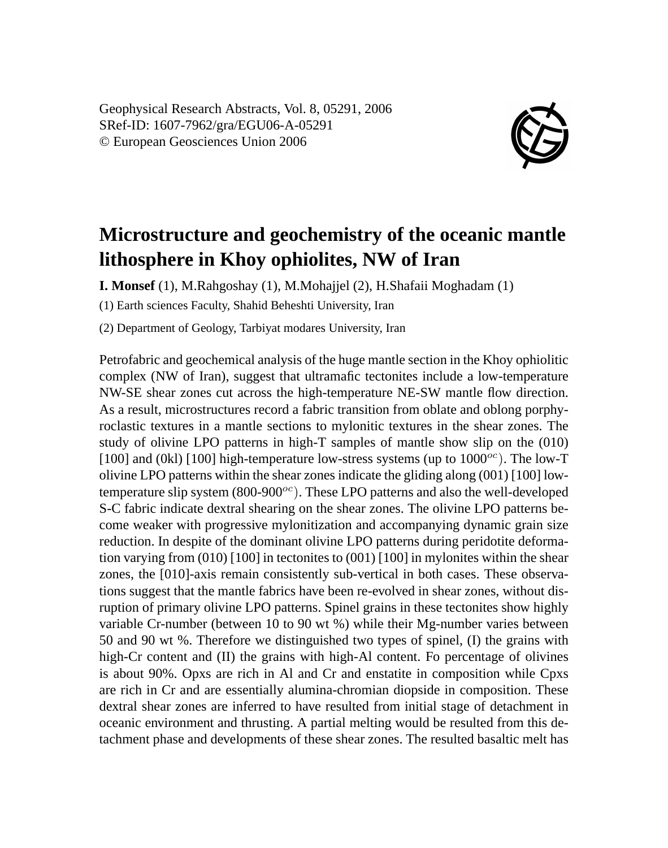Geophysical Research Abstracts, Vol. 8, 05291, 2006 SRef-ID: 1607-7962/gra/EGU06-A-05291 © European Geosciences Union 2006



## **Microstructure and geochemistry of the oceanic mantle lithosphere in Khoy ophiolites, NW of Iran**

**I. Monsef** (1), M.Rahgoshay (1), M.Mohajjel (2), H.Shafaii Moghadam (1)

(1) Earth sciences Faculty, Shahid Beheshti University, Iran

(2) Department of Geology, Tarbiyat modares University, Iran

Petrofabric and geochemical analysis of the huge mantle section in the Khoy ophiolitic complex (NW of Iran), suggest that ultramafic tectonites include a low-temperature NW-SE shear zones cut across the high-temperature NE-SW mantle flow direction. As a result, microstructures record a fabric transition from oblate and oblong porphyroclastic textures in a mantle sections to mylonitic textures in the shear zones. The study of olivine LPO patterns in high-T samples of mantle show slip on the (010) [100] and (0kl) [100] high-temperature low-stress systems (up to  $1000^{\circ}$ ). The low-T olivine LPO patterns within the shear zones indicate the gliding along (001) [100] lowtemperature slip system  $(800-900)$ <sup>oc</sup>). These LPO patterns and also the well-developed S-C fabric indicate dextral shearing on the shear zones. The olivine LPO patterns become weaker with progressive mylonitization and accompanying dynamic grain size reduction. In despite of the dominant olivine LPO patterns during peridotite deformation varying from  $(010)$  [100] in tectonites to  $(001)$  [100] in mylonites within the shear zones, the [010]-axis remain consistently sub-vertical in both cases. These observations suggest that the mantle fabrics have been re-evolved in shear zones, without disruption of primary olivine LPO patterns. Spinel grains in these tectonites show highly variable Cr-number (between 10 to 90 wt %) while their Mg-number varies between 50 and 90 wt %. Therefore we distinguished two types of spinel, (I) the grains with high-Cr content and (II) the grains with high-Al content. Fo percentage of olivines is about 90%. Opxs are rich in Al and Cr and enstatite in composition while Cpxs are rich in Cr and are essentially alumina-chromian diopside in composition. These dextral shear zones are inferred to have resulted from initial stage of detachment in oceanic environment and thrusting. A partial melting would be resulted from this detachment phase and developments of these shear zones. The resulted basaltic melt has